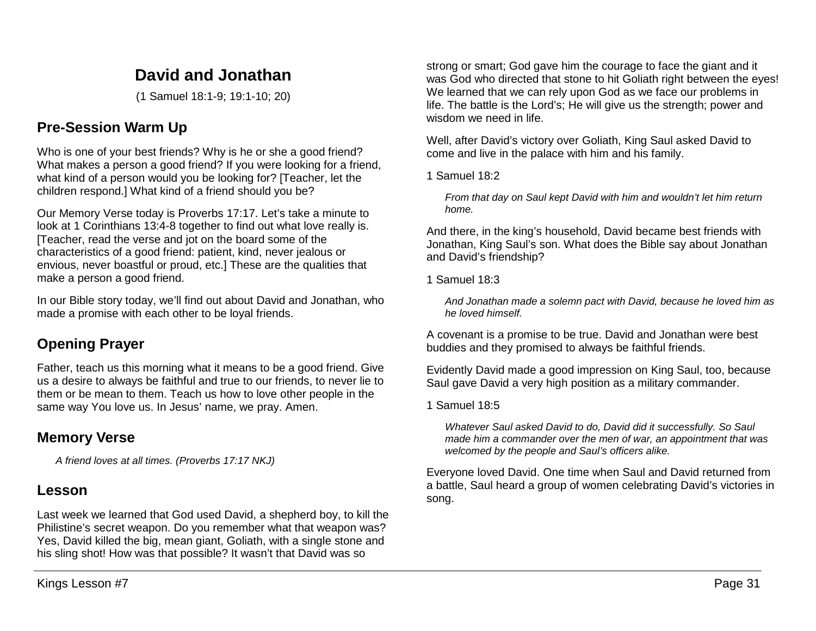# **David and Jonathan**

(1 Samuel 18:1-9; 19:1-10; 20)

## **Pre-Session Warm Up**

Who is one of your best friends? Why is he or she a good friend? What makes a person a good friend? If you were looking for a friend, what kind of a person would you be looking for? [Teacher, let the children respond.] What kind of a friend should you be?

Our Memory Verse today is Proverbs 17:17. Let's take a minute to look at 1 Corinthians 13:4-8 together to find out what love really is. [Teacher, read the verse and jot on the board some of the characteristics of a good friend: patient, kind, never jealous or envious, never boastful or proud, etc.] These are the qualities that make a person a good friend.

In our Bible story today, we'll find out about David and Jonathan, who made a promise with each other to be loyal friends.

# **Opening Prayer**

Father, teach us this morning what it means to be a good friend. Give us a desire to always be faithful and true to our friends, to never lie to them or be mean to them. Teach us how to love other people in the same way You love us. In Jesus' name, we pray. Amen.

## **Memory Verse**

*A friend loves at all times. (Proverbs 17:17 NKJ)*

## **Lesson**

Last week we learned that God used David, a shepherd boy, to kill the Philistine's secret weapon. Do you remember what that weapon was? Yes, David killed the big, mean giant, Goliath, with a single stone and his sling shot! How was that possible? It wasn't that David was so

strong or smart; God gave him the courage to face the giant and it was God who directed that stone to hit Goliath right between the eyes! We learned that we can rely upon God as we face our problems in life. The battle is the Lord's; He will give us the strength; power and wisdom we need in life.

Well, after David's victory over Goliath, King Saul asked David to come and live in the palace with him and his family.

1 Samuel 18:2

*From that day on Saul kept David with him and wouldn't let him return home.*

And there, in the king's household, David became best friends with Jonathan, King Saul's son. What does the Bible say about Jonathan and David's friendship?

1 Samuel 18:3

*And Jonathan made a solemn pact with David, because he loved him as he loved himself.*

A covenant is a promise to be true. David and Jonathan were best buddies and they promised to always be faithful friends.

Evidently David made a good impression on King Saul, too, because Saul gave David a very high position as a military commander.

1 Samuel 18:5

*Whatever Saul asked David to do, David did it successfully. So Saul made him a commander over the men of war, an appointment that was welcomed by the people and Saul's officers alike.* 

Everyone loved David. One time when Saul and David returned from a battle, Saul heard a group of women celebrating David's victories in song.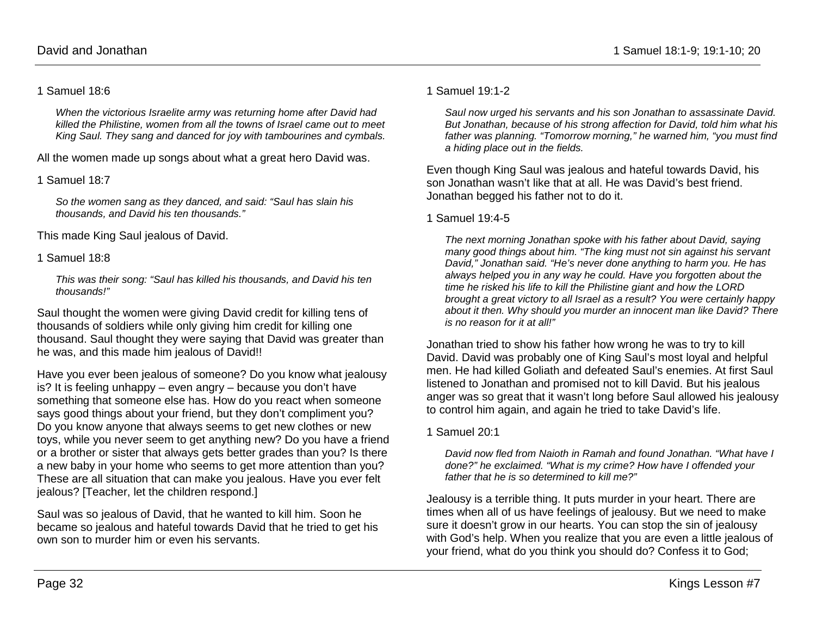#### 1 Samuel 18:6

*When the victorious Israelite army was returning home after David had killed the Philistine, women from all the towns of Israel came out to meet King Saul. They sang and danced for joy with tambourines and cymbals.*

All the women made up songs about what a great hero David was.

1 Samuel 18:7

*So the women sang as they danced, and said: "Saul has slain his thousands, and David his ten thousands."*

This made King Saul jealous of David.

#### 1 Samuel 18:8

*This was their song: "Saul has killed his thousands, and David his ten thousands!"*

Saul thought the women were giving David credit for killing tens of thousands of soldiers while only giving him credit for killing one thousand. Saul thought they were saying that David was greater than he was, and this made him jealous of David!!

Have you ever been jealous of someone? Do you know what jealousy is? It is feeling unhappy – even angry – because you don't have something that someone else has. How do you react when someone says good things about your friend, but they don't compliment you? Do you know anyone that always seems to get new clothes or new toys, while you never seem to get anything new? Do you have a friend or a brother or sister that always gets better grades than you? Is there a new baby in your home who seems to get more attention than you? These are all situation that can make you jealous. Have you ever felt jealous? [Teacher, let the children respond.]

Saul was so jealous of David, that he wanted to kill him. Soon he became so jealous and hateful towards David that he tried to get his own son to murder him or even his servants.

#### 1 Samuel 19:1-2

*Saul now urged his servants and his son Jonathan to assassinate David. But Jonathan, because of his strong affection for David, told him what his father was planning. "Tomorrow morning," he warned him, "you must find a hiding place out in the fields.* 

Even though King Saul was jealous and hateful towards David, his son Jonathan wasn't like that at all. He was David's best friend. Jonathan begged his father not to do it.

#### 1 Samuel 19:4-5

*The next morning Jonathan spoke with his father about David, saying many good things about him. "The king must not sin against his servant David," Jonathan said. "He's never done anything to harm you. He has always helped you in any way he could. Have you forgotten about the time he risked his life to kill the Philistine giant and how the LORD brought a great victory to all Israel as a result? You were certainly happy about it then. Why should you murder an innocent man like David? There is no reason for it at all!"* 

Jonathan tried to show his father how wrong he was to try to kill David. David was probably one of King Saul's most loyal and helpful men. He had killed Goliath and defeated Saul's enemies. At first Saul listened to Jonathan and promised not to kill David. But his jealous anger was so great that it wasn't long before Saul allowed his jealousy to control him again, and again he tried to take David's life.

1 Samuel 20:1

*David now fled from Naioth in Ramah and found Jonathan. "What have I done?" he exclaimed. "What is my crime? How have I offended your father that he is so determined to kill me?"*

Jealousy is a terrible thing. It puts murder in your heart. There are times when all of us have feelings of jealousy. But we need to make sure it doesn't grow in our hearts. You can stop the sin of jealousy with God's help. When you realize that you are even a little jealous of your friend, what do you think you should do? Confess it to God;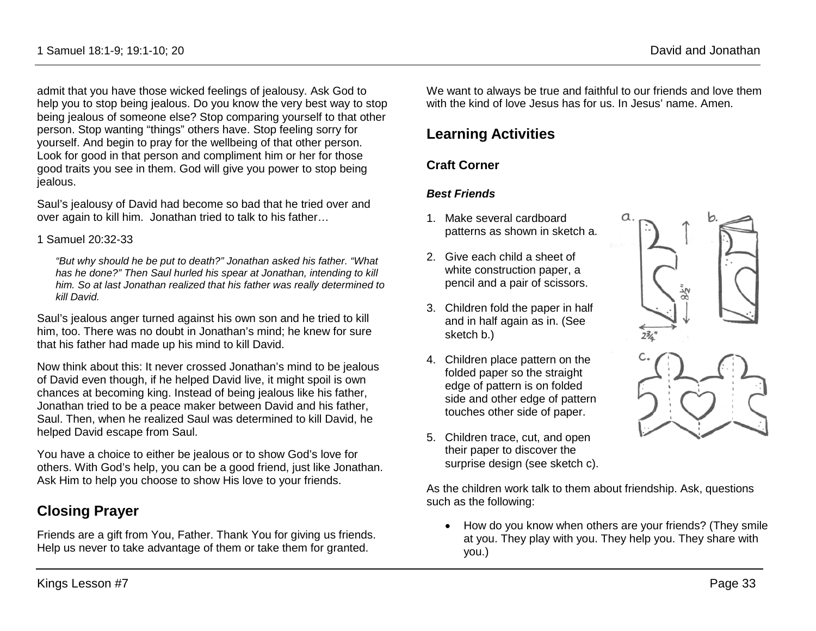1 Samuel 18:1-9; 19:1-10; 20 David and Jonathan

admit that you have those wicked feelings of jealousy. Ask God to help you to stop being jealous. Do you know the very best way to stop being jealous of someone else? Stop comparing yourself to that other person. Stop wanting "things" others have. Stop feeling sorry for yourself. And begin to pray for the wellbeing of that other person. Look for good in that person and compliment him or her for those good traits you see in them. God will give you power to stop being jealous.

Saul's jealousy of David had become so bad that he tried over and over again to kill him. Jonathan tried to talk to his father…

1 Samuel 20:32-33

*"But why should he be put to death?" Jonathan asked his father. "What has he done?" Then Saul hurled his spear at Jonathan, intending to kill him. So at last Jonathan realized that his father was really determined to kill David.* 

Saul's jealous anger turned against his own son and he tried to kill him, too. There was no doubt in Jonathan's mind; he knew for sure that his father had made up his mind to kill David.

Now think about this: It never crossed Jonathan's mind to be jealous of David even though, if he helped David live, it might spoil is own chances at becoming king. Instead of being jealous like his father, Jonathan tried to be a peace maker between David and his father, Saul. Then, when he realized Saul was determined to kill David, he helped David escape from Saul.

You have a choice to either be jealous or to show God's love for others. With God's help, you can be a good friend, just like Jonathan. Ask Him to help you choose to show His love to your friends.

## **Closing Prayer**

Friends are a gift from You, Father. Thank You for giving us friends. Help us never to take advantage of them or take them for granted.

We want to always be true and faithful to our friends and love them with the kind of love Jesus has for us. In Jesus' name. Amen.

## **Learning Activities**

### **Craft Corner**

#### *Best Friends*

- 1. Make several cardboard patterns as shown in sketch a.
- 2. Give each child a sheet of white construction paper, a pencil and a pair of scissors.
- 3. Children fold the paper in half and in half again as in. (See sketch b.)
- 4. Children place pattern on the folded paper so the straight edge of pattern is on folded side and other edge of pattern touches other side of paper.
- 5. Children trace, cut, and open their paper to discover the surprise design (see sketch c).

As the children work talk to them about friendship. Ask, questions such as the following:

• How do you know when others are your friends? (They smile at you. They play with you. They help you. They share with you.)

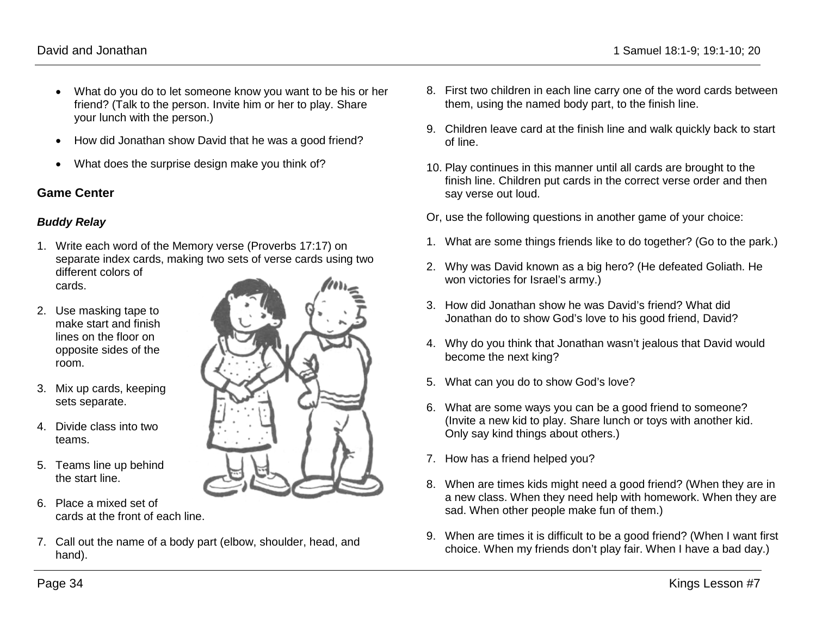- What do you do to let someone know you want to be his or her friend? (Talk to the person. Invite him or her to play. Share your lunch with the person.)
- How did Jonathan show David that he was a good friend?
- What does the surprise design make you think of?

#### **Game Center**

#### *Buddy Relay*

- 1. Write each word of the Memory verse (Proverbs 17:17) on separate index cards, making two sets of verse cards using two different colors of cards.
- 2. Use masking tape to make start and finish lines on the floor on opposite sides of the room.
- 3. Mix up cards, keeping sets separate.
- 4. Divide class into two teams.
- 5. Teams line up behind the start line.
- 6. Place a mixed set of cards at the front of each line.
- 7. Call out the name of a body part (elbow, shoulder, head, and hand).
- 8. First two children in each line carry one of the word cards between them, using the named body part, to the finish line.
- 9. Children leave card at the finish line and walk quickly back to start of line.
- 10. Play continues in this manner until all cards are brought to the finish line. Children put cards in the correct verse order and then say verse out loud.
- Or, use the following questions in another game of your choice:
- 1. What are some things friends like to do together? (Go to the park.)
- 2. Why was David known as a big hero? (He defeated Goliath. He won victories for Israel's army.)
- 3. How did Jonathan show he was David's friend? What did Jonathan do to show God's love to his good friend, David?
- 4. Why do you think that Jonathan wasn't jealous that David would become the next king?
- 5. What can you do to show God's love?
- 6. What are some ways you can be a good friend to someone? (Invite a new kid to play. Share lunch or toys with another kid. Only say kind things about others.)
- 7. How has a friend helped you?
- 8. When are times kids might need a good friend? (When they are in a new class. When they need help with homework. When they are sad. When other people make fun of them.)
- 9. When are times it is difficult to be a good friend? (When I want first choice. When my friends don't play fair. When I have a bad day.)